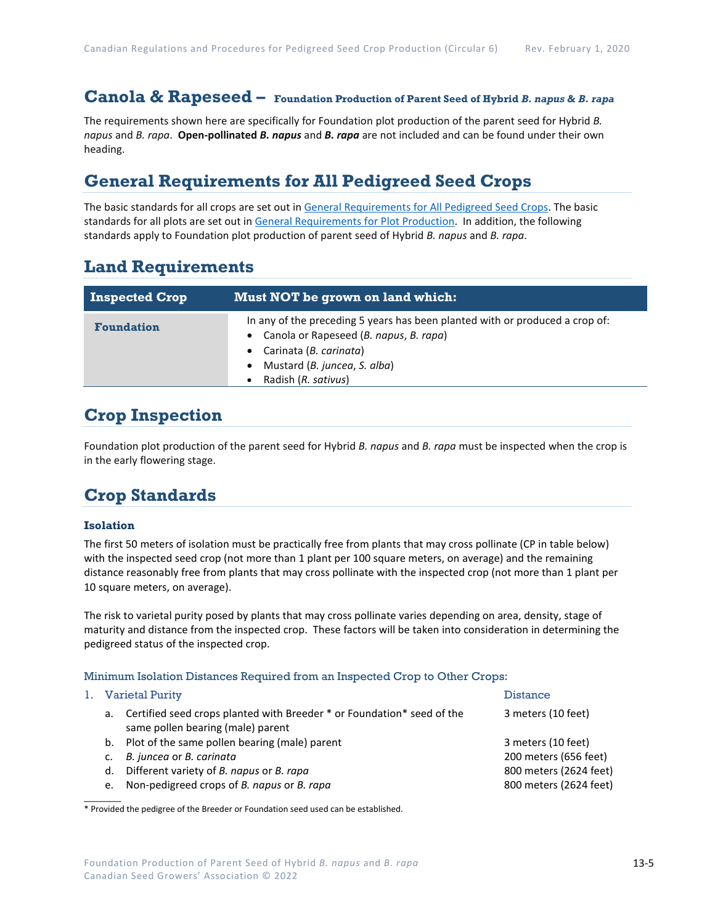# **Canola & Rapeseed – Foundation Production of Parent Seed of Hybrid** *B. napus* **&** *B. rapa*

The requirements shown here are specifically for Foundation plot production of the parent seed for Hybrid *B. napus* and *B. rapa*. **Open-pollinated** *B. napus* and *B. rapa* are not included and can be found under their own heading.

### **General Requirements for All Pedigreed Seed Crops**

The basic standards for all crops are set out i[n General Requirements for All Pedigreed Seed](https://seedgrowers.ca/wp-content/uploads/2020/01/GENERAL-REQUIREMENTS-ALL-CROPS_EN.pdf) Crops. The basic standards for all plots are set out i[n General Requirements for Plot Production.](https://seedgrowers.ca/wp-content/uploads/2020/01/GENERAL-REQUIREMENTS-PLOTS_EN.pdf) In addition, the following standards apply to Foundation plot production of parent seed of Hybrid *B. napus* and *B. rapa*.

### **Land Requirements**

| <b>Inspected Crop</b> | Must NOT be grown on land which:                                                                                                                                                                          |  |  |
|-----------------------|-----------------------------------------------------------------------------------------------------------------------------------------------------------------------------------------------------------|--|--|
| <b>Foundation</b>     | In any of the preceding 5 years has been planted with or produced a crop of:<br>Canola or Rapeseed (B. napus, B. rapa)<br>• Carinata (B. carinata)<br>Mustard (B. juncea, S. alba)<br>Radish (R. sativus) |  |  |

## **Crop Inspection**

Foundation plot production of the parent seed for Hybrid *B. napus* and *B. rapa* must be inspected when the crop is in the early flowering stage.

## **Crop Standards**

#### **Isolation**

The first 50 meters of isolation must be practically free from plants that may cross pollinate (CP in table below) with the inspected seed crop (not more than 1 plant per 100 square meters, on average) and the remaining distance reasonably free from plants that may cross pollinate with the inspected crop (not more than 1 plant per 10 square meters, on average).

The risk to varietal purity posed by plants that may cross pollinate varies depending on area, density, stage of maturity and distance from the inspected crop. These factors will be taken into consideration in determining the pedigreed status of the inspected crop.

#### Minimum Isolation Distances Required from an Inspected Crop to Other Crops:

|    | 1. Varietal Purity                                                                                              | <b>Distance</b>        |
|----|-----------------------------------------------------------------------------------------------------------------|------------------------|
|    | a. Certified seed crops planted with Breeder * or Foundation * seed of the<br>same pollen bearing (male) parent | 3 meters (10 feet)     |
|    | b. Plot of the same pollen bearing (male) parent                                                                | 3 meters (10 feet)     |
|    | B. juncea or B. carinata                                                                                        | 200 meters (656 feet)  |
| d. | Different variety of B. napus or B. rapa                                                                        | 800 meters (2624 feet) |
| e. | Non-pedigreed crops of B. napus or B. rapa                                                                      | 800 meters (2624 feet) |
|    |                                                                                                                 |                        |

\* Provided the pedigree of the Breeder or Foundation seed used can be established.